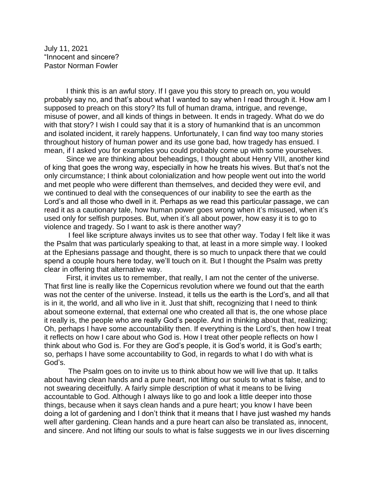July 11, 2021 "Innocent and sincere? Pastor Norman Fowler

I think this is an awful story. If I gave you this story to preach on, you would probably say no, and that's about what I wanted to say when I read through it. How am I supposed to preach on this story? Its full of human drama, intrigue, and revenge, misuse of power, and all kinds of things in between. It ends in tragedy. What do we do with that story? I wish I could say that it is a story of humankind that is an uncommon and isolated incident, it rarely happens. Unfortunately, I can find way too many stories throughout history of human power and its use gone bad, how tragedy has ensued. I mean, if I asked you for examples you could probably come up with some yourselves.

Since we are thinking about beheadings, I thought about Henry VIII, another kind of king that goes the wrong way, especially in how he treats his wives. But that's not the only circumstance; I think about colonialization and how people went out into the world and met people who were different than themselves, and decided they were evil, and we continued to deal with the consequences of our inability to see the earth as the Lord's and all those who dwell in it. Perhaps as we read this particular passage, we can read it as a cautionary tale, how human power goes wrong when it's misused, when it's used only for selfish purposes. But, when it's all about power, how easy it is to go to violence and tragedy. So I want to ask is there another way?

I feel like scripture always invites us to see that other way. Today I felt like it was the Psalm that was particularly speaking to that, at least in a more simple way. I looked at the Ephesians passage and thought, there is so much to unpack there that we could spend a couple hours here today, we'll touch on it. But I thought the Psalm was pretty clear in offering that alternative way.

First, it invites us to remember, that really, I am not the center of the universe. That first line is really like the Copernicus revolution where we found out that the earth was not the center of the universe. Instead, it tells us the earth is the Lord's, and all that is in it, the world, and all who live in it. Just that shift, recognizing that I need to think about someone external, that external one who created all that is, the one whose place it really is, the people who are really God's people. And in thinking about that, realizing; Oh, perhaps I have some accountability then. If everything is the Lord's, then how I treat it reflects on how I care about who God is. How I treat other people reflects on how I think about who God is. For they are God's people, it is God's world, it is God's earth; so, perhaps I have some accountability to God, in regards to what I do with what is God's.

The Psalm goes on to invite us to think about how we will live that up. It talks about having clean hands and a pure heart, not lifting our souls to what is false, and to not swearing deceitfully. A fairly simple description of what it means to be living accountable to God. Although I always like to go and look a little deeper into those things, because when it says clean hands and a pure heart; you know I have been doing a lot of gardening and I don't think that it means that I have just washed my hands well after gardening. Clean hands and a pure heart can also be translated as, innocent, and sincere. And not lifting our souls to what is false suggests we in our lives discerning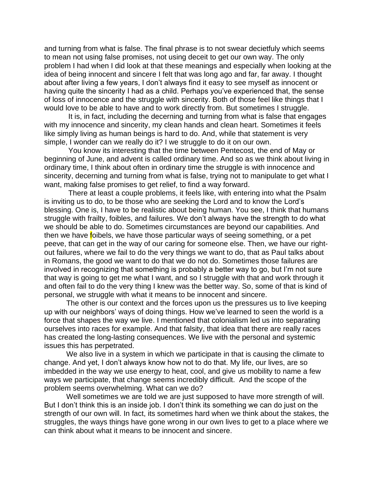and turning from what is false. The final phrase is to not swear decietfuly which seems to mean not using false promises, not using deceit to get our own way. The only problem I had when I did look at that these meanings and especially when looking at the idea of being innocent and sincere I felt that was long ago and far, far away. I thought about after living a few years, I don't always find it easy to see myself as innocent or having quite the sincerity I had as a child. Perhaps you've experienced that, the sense of loss of innocence and the struggle with sincerity. Both of those feel like things that I would love to be able to have and to work directly from. But sometimes I struggle.

It is, in fact, including the decerning and turning from what is false that engages with my innocence and sincerity, my clean hands and clean heart. Sometimes it feels like simply living as human beings is hard to do. And, while that statement is very simple, I wonder can we really do it? I we struggle to do it on our own.

You know its interesting that the time between Pentecost, the end of May or beginning of June, and advent is called ordinary time. And so as we think about living in ordinary time, I think about often in ordinary time the struggle is with innocence and sincerity, decerning and turning from what is false, trying not to manipulate to get what I want, making false promises to get relief, to find a way forward.

There at least a couple problems, it feels like, with entering into what the Psalm is inviting us to do, to be those who are seeking the Lord and to know the Lord's blessing. One is, I have to be realistic about being human. You see, I think that humans struggle with frailty, foibles, and failures. We don't always have the strength to do what we should be able to do. Sometimes circumstances are beyond our capabilities. And then we have **f**oibels, we have those particular ways of seeing something, or a pet peeve, that can get in the way of our caring for someone else. Then, we have our rightout failures, where we fail to do the very things we want to do, that as Paul talks about in Romans, the good we want to do that we do not do. Sometimes those failures are involved in recognizing that something is probably a better way to go, but I'm not sure that way is going to get me what I want, and so I struggle with that and work through it and often fail to do the very thing I knew was the better way. So, some of that is kind of personal, we struggle with what it means to be innocent and sincere.

The other is our context and the forces upon us the pressures us to live keeping up with our neighbors' ways of doing things. How we've learned to seen the world is a force that shapes the way we live. I mentioned that colonialism led us into separating ourselves into races for example. And that falsity, that idea that there are really races has created the long-lasting consequences. We live with the personal and systemic issues this has perpetrated.

We also live in a system in which we participate in that is causing the climate to change. And yet, I don't always know how not to do that. My life, our lives, are so imbedded in the way we use energy to heat, cool, and give us mobility to name a few ways we participate, that change seems incredibly difficult. And the scope of the problem seems overwhelming. What can we do?

Well sometimes we are told we are just supposed to have more strength of will. But I don't think this is an inside job. I don't think its something we can do just on the strength of our own will. In fact, its sometimes hard when we think about the stakes, the struggles, the ways things have gone wrong in our own lives to get to a place where we can think about what it means to be innocent and sincere.